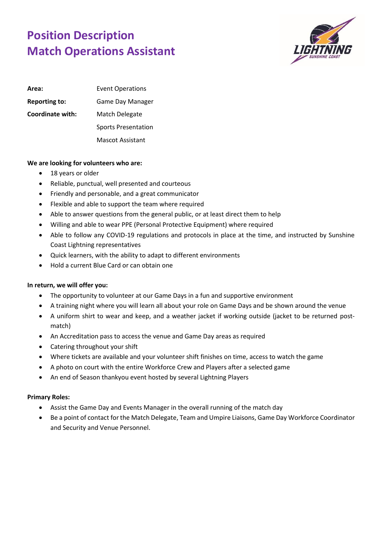## **Position Description Match Operations Assistant**



| Area:                | <b>Event Operations</b>    |
|----------------------|----------------------------|
| <b>Reporting to:</b> | Game Day Manager           |
| Coordinate with:     | Match Delegate             |
|                      | <b>Sports Presentation</b> |
|                      | Mascot Assistant           |

## **We are looking for volunteers who are:**

- 18 years or older
- Reliable, punctual, well presented and courteous
- Friendly and personable, and a great communicator
- Flexible and able to support the team where required
- Able to answer questions from the general public, or at least direct them to help
- Willing and able to wear PPE (Personal Protective Equipment) where required
- Able to follow any COVID-19 regulations and protocols in place at the time, and instructed by Sunshine Coast Lightning representatives
- Quick learners, with the ability to adapt to different environments
- Hold a current Blue Card or can obtain one

## **In return, we will offer you:**

- The opportunity to volunteer at our Game Days in a fun and supportive environment
- A training night where you will learn all about your role on Game Days and be shown around the venue
- A uniform shirt to wear and keep, and a weather jacket if working outside (jacket to be returned postmatch)
- An Accreditation pass to access the venue and Game Day areas as required
- Catering throughout your shift
- Where tickets are available and your volunteer shift finishes on time, access to watch the game
- A photo on court with the entire Workforce Crew and Players after a selected game
- An end of Season thankyou event hosted by several Lightning Players

## **Primary Roles:**

- Assist the Game Day and Events Manager in the overall running of the match day
- Be a point of contact for the Match Delegate, Team and Umpire Liaisons, Game Day Workforce Coordinator and Security and Venue Personnel.